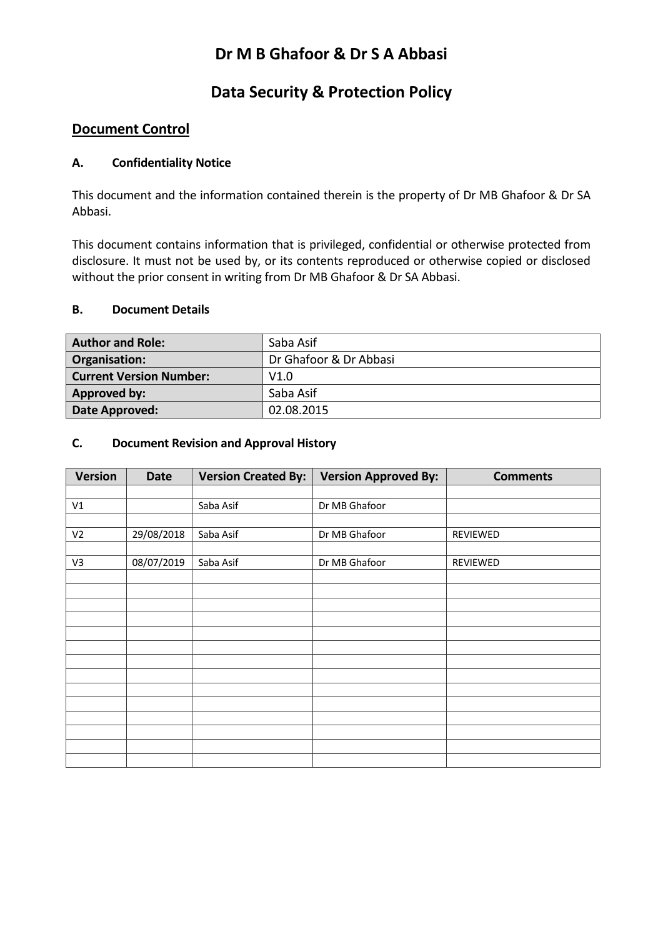# **Dr M B Ghafoor & Dr S A Abbasi**

## **Data Security & Protection Policy**

### **Document Control**

#### **A. Confidentiality Notice**

This document and the information contained therein is the property of Dr MB Ghafoor & Dr SA Abbasi.

This document contains information that is privileged, confidential or otherwise protected from disclosure. It must not be used by, or its contents reproduced or otherwise copied or disclosed without the prior consent in writing from Dr MB Ghafoor & Dr SA Abbasi.

#### **B. Document Details**

| <b>Author and Role:</b>        | Saba Asif              |
|--------------------------------|------------------------|
| Organisation:                  | Dr Ghafoor & Dr Abbasi |
| <b>Current Version Number:</b> | V1.0                   |
| <b>Approved by:</b>            | Saba Asif              |
| Date Approved:                 | 02.08.2015             |

#### **C. Document Revision and Approval History**

| <b>Version</b> | <b>Date</b> | <b>Version Created By:</b> | <b>Version Approved By:</b> | <b>Comments</b> |
|----------------|-------------|----------------------------|-----------------------------|-----------------|
|                |             |                            |                             |                 |
| V1             |             | Saba Asif                  | Dr MB Ghafoor               |                 |
|                |             |                            |                             |                 |
| V <sub>2</sub> | 29/08/2018  | Saba Asif                  | Dr MB Ghafoor               | REVIEWED        |
|                |             |                            |                             |                 |
| V3             | 08/07/2019  | Saba Asif                  | Dr MB Ghafoor               | REVIEWED        |
|                |             |                            |                             |                 |
|                |             |                            |                             |                 |
|                |             |                            |                             |                 |
|                |             |                            |                             |                 |
|                |             |                            |                             |                 |
|                |             |                            |                             |                 |
|                |             |                            |                             |                 |
|                |             |                            |                             |                 |
|                |             |                            |                             |                 |
|                |             |                            |                             |                 |
|                |             |                            |                             |                 |
|                |             |                            |                             |                 |
|                |             |                            |                             |                 |
|                |             |                            |                             |                 |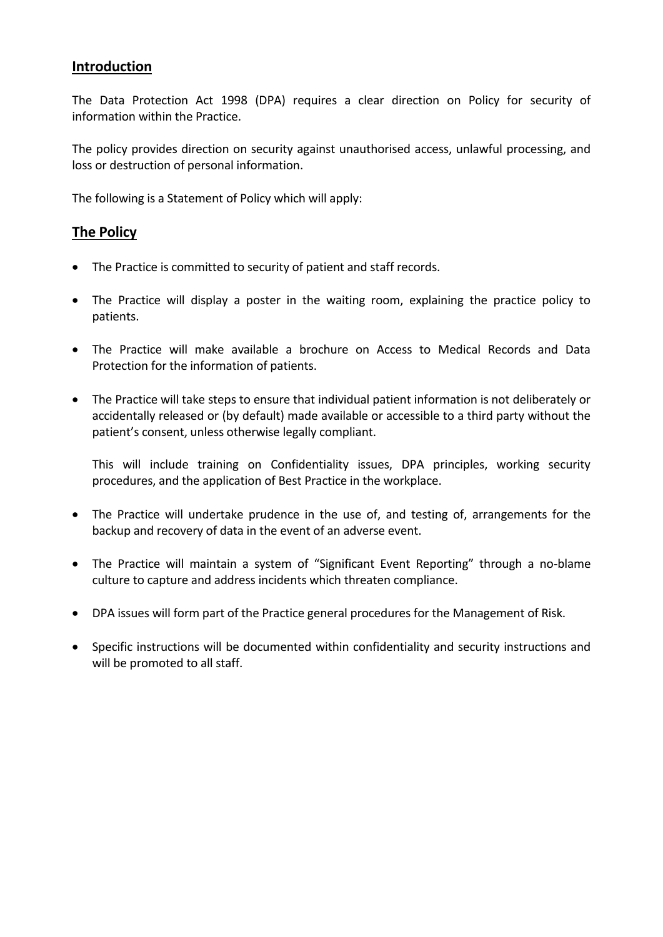### **Introduction**

The Data Protection Act 1998 (DPA) requires a clear direction on Policy for security of information within the Practice.

The policy provides direction on security against unauthorised access, unlawful processing, and loss or destruction of personal information.

The following is a Statement of Policy which will apply:

### **The Policy**

- The Practice is committed to security of patient and staff records.
- The Practice will display a poster in the waiting room, explaining the practice policy to patients.
- The Practice will make available a brochure on Access to Medical Records and Data Protection for the information of patients.
- The Practice will take steps to ensure that individual patient information is not deliberately or accidentally released or (by default) made available or accessible to a third party without the patient's consent, unless otherwise legally compliant.

This will include training on Confidentiality issues, DPA principles, working security procedures, and the application of Best Practice in the workplace.

- The Practice will undertake prudence in the use of, and testing of, arrangements for the backup and recovery of data in the event of an adverse event.
- The Practice will maintain a system of "Significant Event Reporting" through a no-blame culture to capture and address incidents which threaten compliance.
- DPA issues will form part of the Practice general procedures for the Management of Risk.
- Specific instructions will be documented within confidentiality and security instructions and will be promoted to all staff.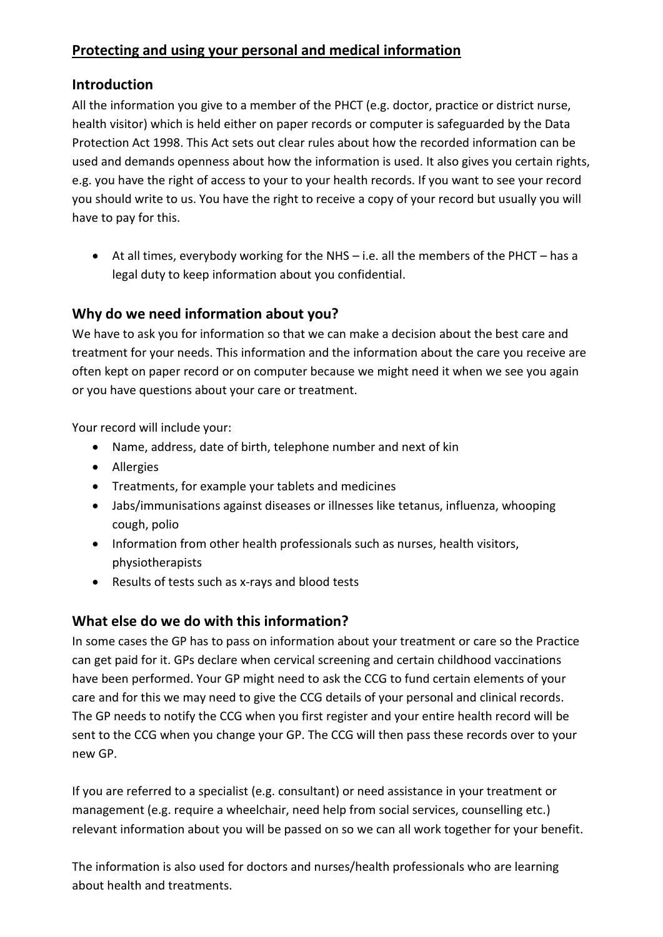### **Protecting and using your personal and medical information**

### **Introduction**

All the information you give to a member of the PHCT (e.g. doctor, practice or district nurse, health visitor) which is held either on paper records or computer is safeguarded by the Data Protection Act 1998. This Act sets out clear rules about how the recorded information can be used and demands openness about how the information is used. It also gives you certain rights, e.g. you have the right of access to your to your health records. If you want to see your record you should write to us. You have the right to receive a copy of your record but usually you will have to pay for this.

 At all times, everybody working for the NHS – i.e. all the members of the PHCT – has a legal duty to keep information about you confidential.

### **Why do we need information about you?**

We have to ask you for information so that we can make a decision about the best care and treatment for your needs. This information and the information about the care you receive are often kept on paper record or on computer because we might need it when we see you again or you have questions about your care or treatment.

Your record will include your:

- Name, address, date of birth, telephone number and next of kin
- Allergies
- Treatments, for example your tablets and medicines
- Jabs/immunisations against diseases or illnesses like tetanus, influenza, whooping cough, polio
- Information from other health professionals such as nurses, health visitors, physiotherapists
- Results of tests such as x-rays and blood tests

### **What else do we do with this information?**

In some cases the GP has to pass on information about your treatment or care so the Practice can get paid for it. GPs declare when cervical screening and certain childhood vaccinations have been performed. Your GP might need to ask the CCG to fund certain elements of your care and for this we may need to give the CCG details of your personal and clinical records. The GP needs to notify the CCG when you first register and your entire health record will be sent to the CCG when you change your GP. The CCG will then pass these records over to your new GP.

If you are referred to a specialist (e.g. consultant) or need assistance in your treatment or management (e.g. require a wheelchair, need help from social services, counselling etc.) relevant information about you will be passed on so we can all work together for your benefit.

The information is also used for doctors and nurses/health professionals who are learning about health and treatments.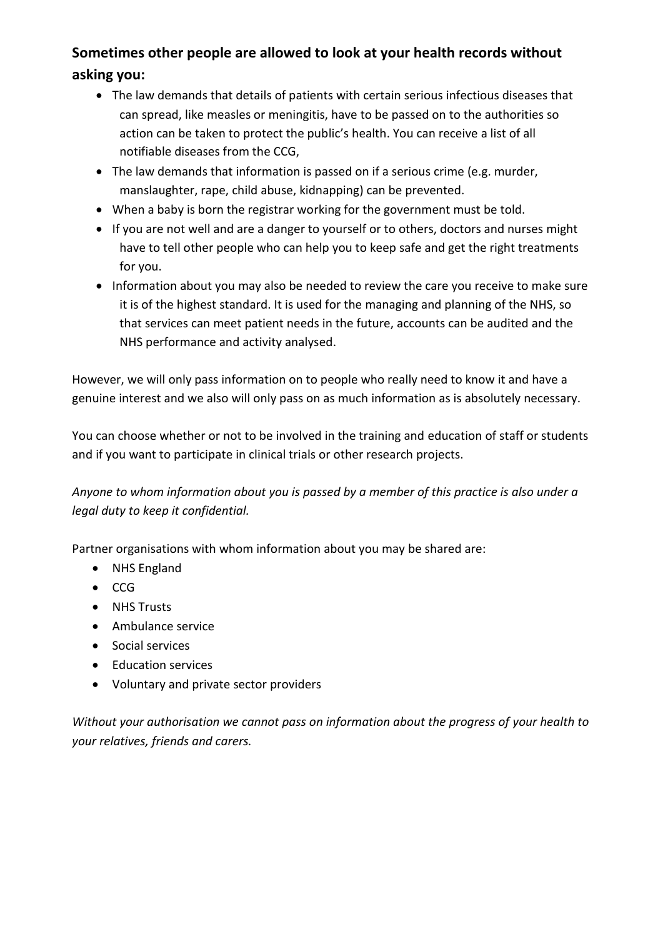# **Sometimes other people are allowed to look at your health records without asking you:**

- The law demands that details of patients with certain serious infectious diseases that can spread, like measles or meningitis, have to be passed on to the authorities so action can be taken to protect the public's health. You can receive a list of all notifiable diseases from the CCG,
- The law demands that information is passed on if a serious crime (e.g. murder, manslaughter, rape, child abuse, kidnapping) can be prevented.
- When a baby is born the registrar working for the government must be told.
- If you are not well and are a danger to yourself or to others, doctors and nurses might have to tell other people who can help you to keep safe and get the right treatments for you.
- Information about you may also be needed to review the care you receive to make sure it is of the highest standard. It is used for the managing and planning of the NHS, so that services can meet patient needs in the future, accounts can be audited and the NHS performance and activity analysed.

However, we will only pass information on to people who really need to know it and have a genuine interest and we also will only pass on as much information as is absolutely necessary.

You can choose whether or not to be involved in the training and education of staff or students and if you want to participate in clinical trials or other research projects.

*Anyone to whom information about you is passed by a member of this practice is also under a legal duty to keep it confidential.*

Partner organisations with whom information about you may be shared are:

- NHS England
- $\bullet$  CCG
- NHS Trusts
- Ambulance service
- Social services
- Education services
- Voluntary and private sector providers

*Without your authorisation we cannot pass on information about the progress of your health to your relatives, friends and carers.*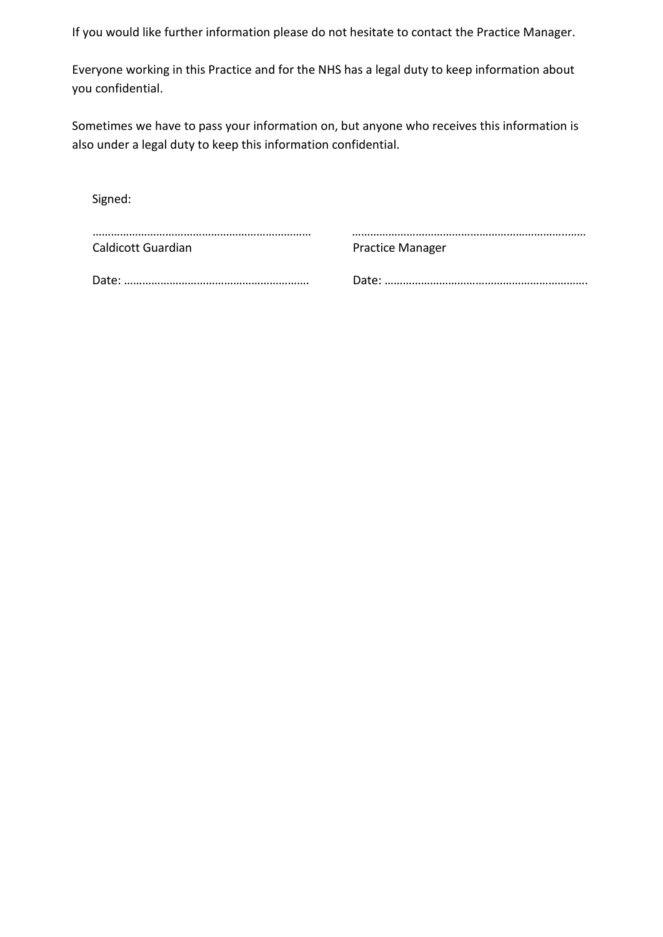If you would like further information please do not hesitate to contact the Practice Manager.

Everyone working in this Practice and for the NHS has a legal duty to keep information about you confidential.

Sometimes we have to pass your information on, but anyone who receives this information is also under a legal duty to keep this information confidential.

Signed:

| <b>Caldicott Guardian</b> | <b>Practice Manager</b> |  |
|---------------------------|-------------------------|--|
| Date:                     | Date:                   |  |